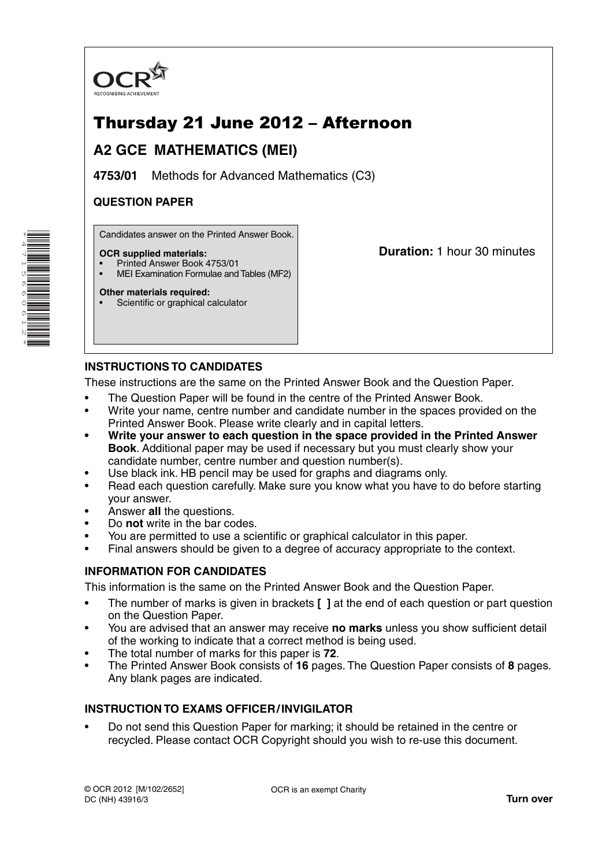

# Thursday 21 June 2012 – Afternoon

## **A2 GCE MATHEMATICS (MEI)**

**4753/01** Methods for Advanced Mathematics (C3)

## **QUESTION PAPER**

Candidates answer on the Printed Answer Book.

#### **OCR supplied materials:**

- Printed Answer Book 4753/01
- MEI Examination Formulae and Tables (MF2)

#### **Other materials required:**

Scientific or graphical calculator

**Duration:** 1 hour 30 minutes

## **INSTRUCTIONS TO CANDIDATES**

These instructions are the same on the Printed Answer Book and the Question Paper.

- The Question Paper will be found in the centre of the Printed Answer Book.
- Write your name, centre number and candidate number in the spaces provided on the Printed Answer Book. Please write clearly and in capital letters.
- **Write your answer to each question in the space provided in the Printed Answer Book**. Additional paper may be used if necessary but you must clearly show your candidate number, centre number and question number(s).
- Use black ink. HB pencil may be used for graphs and diagrams only.
- Read each question carefully. Make sure you know what you have to do before starting your answer.
- Answer **all** the questions.
- Do **not** write in the bar codes.
- You are permitted to use a scientific or graphical calculator in this paper.
- Final answers should be given to a degree of accuracy appropriate to the context.

## **INFORMATION FOR CANDIDATES**

This information is the same on the Printed Answer Book and the Question Paper.

- The number of marks is given in brackets **[ ]** at the end of each question or part question on the Question Paper.
- You are advised that an answer may receive **no marks** unless you show sufficient detail of the working to indicate that a correct method is being used.
- The total number of marks for this paper is **72**.
- The Printed Answer Book consists of **16** pages. The Question Paper consists of **8** pages. Any blank pages are indicated.

## **INSTRUCTION TO EXAMS OFFICER / INVIGILATOR**

• Do not send this Question Paper for marking; it should be retained in the centre or recycled. Please contact OCR Copyright should you wish to re-use this document.

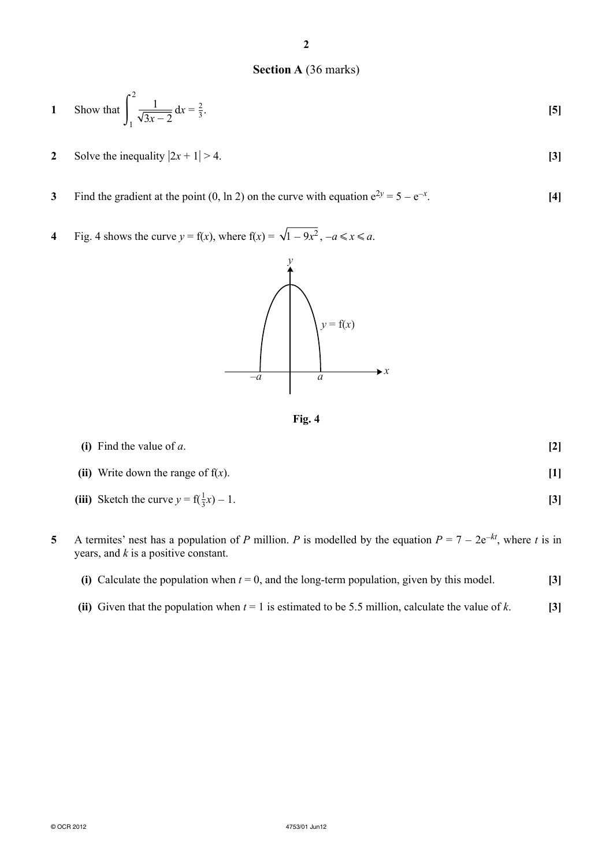#### **Section A** (36 marks)

1 Show that 
$$
\int_{1}^{2} \frac{1}{\sqrt{3x - 2}} dx = \frac{2}{3}.
$$
 [5]

- **2** Solve the inequality  $|2x + 1| > 4$ . [3]
- 
- **3** Find the gradient at the point (0, ln 2) on the curve with equation  $e^{2y} = 5 e^{-x}$ . **[4]**
- **4** Fig. 4 shows the curve  $y = f(x)$ , where  $f(x) = \sqrt{1 9x^2}$ ,  $-a \le x \le a$ .



**Fig. 4**

| (i) Find the value of $a$ .                        | [2]               |
|----------------------------------------------------|-------------------|
| (ii) Write down the range of $f(x)$ .              | $\bm{[1]}$        |
| (iii) Sketch the curve $y = f(\frac{1}{3}x) - 1$ . | $\lceil 3 \rceil$ |

**5** A termites' nest has a population of *P* million. *P* is modelled by the equation  $P = 7 - 2e^{-kt}$ , where *t* is in years, and *k* is a positive constant.

| (i) Calculate the population when $t = 0$ , and the long-term population, given by this model. |  |  |  |  |  |  |  |  | [3] |
|------------------------------------------------------------------------------------------------|--|--|--|--|--|--|--|--|-----|
|------------------------------------------------------------------------------------------------|--|--|--|--|--|--|--|--|-----|

**(ii)** Given that the population when  $t = 1$  is estimated to be 5.5 million, calculate the value of  $k$ . [3]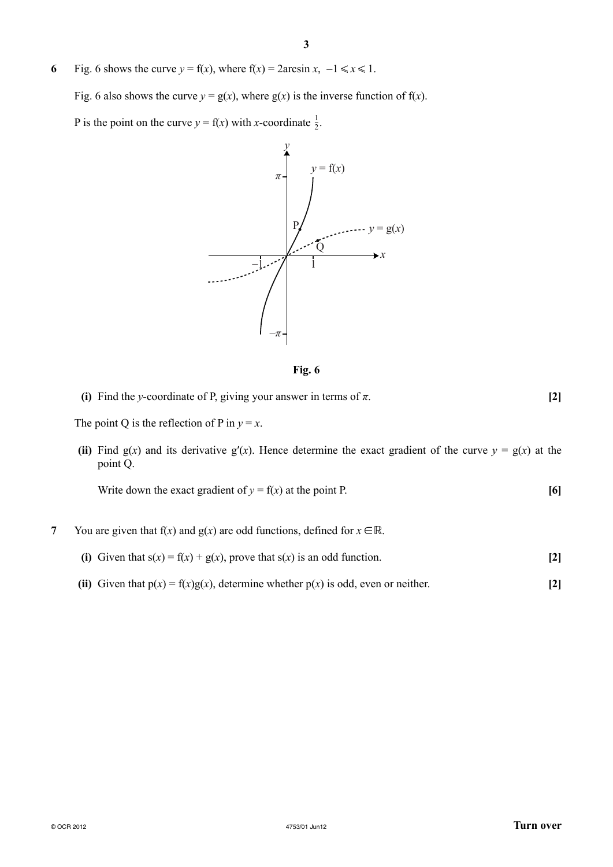**6 Fig.** 6 shows the curve  $y = f(x)$ , where  $f(x) = 2 \arcsin x$ ,  $-1 \le x \le 1$ .

Fig. 6 also shows the curve  $y = g(x)$ , where  $g(x)$  is the inverse function of  $f(x)$ .

P is the point on the curve  $y = f(x)$  with *x*-coordinate  $\frac{1}{2}$ .



**Fig. 6**

**(i)** Find the *y*-coordinate of P, giving your answer in terms of  $\pi$ . [2]

The point Q is the reflection of P in  $y = x$ .

(ii) Find  $g(x)$  and its derivative  $g'(x)$ . Hence determine the exact gradient of the curve  $y = g(x)$  at the point Q.

Write down the exact gradient of  $y = f(x)$  at the point P. **[6]** 

- **7** You are given that  $f(x)$  and  $g(x)$  are odd functions, defined for  $x \in \mathbb{R}$ .
	- **(i)** Given that  $s(x) = f(x) + g(x)$ , prove that  $s(x)$  is an odd function. [2]
	- **(ii)** Given that  $p(x) = f(x)g(x)$ , determine whether  $p(x)$  is odd, even or neither. [2]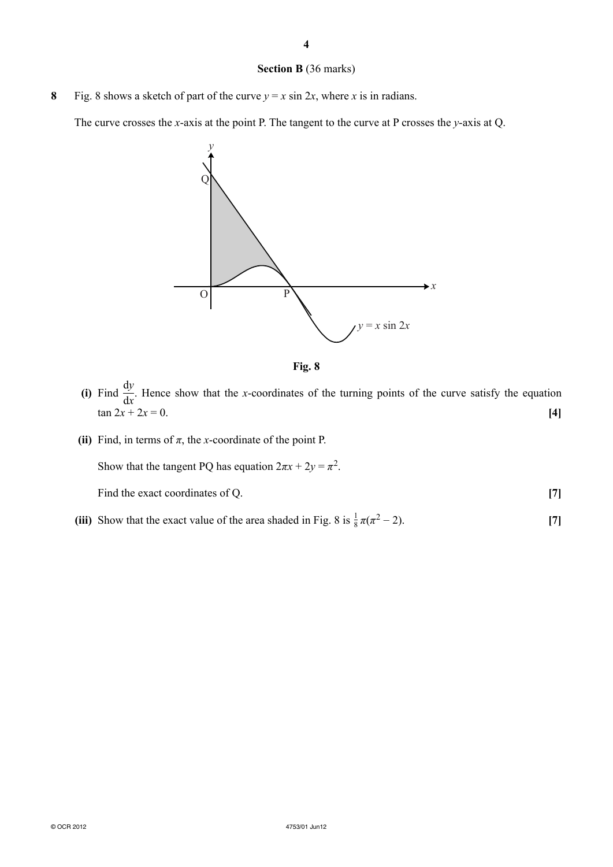#### **Section B** (36 marks)

**8** • Fig. 8 shows a sketch of part of the curve  $y = x \sin 2x$ , where *x* is in radians.

The curve crosses the *x*-axis at the point P. The tangent to the curve at P crosses the *y*-axis at Q.





- **(i)** Find d*y*  $\frac{dy}{dx}$ . Hence show that the *x*-coordinates of the turning points of the curve satisfy the equation  $\tan 2x + 2x = 0.$  [4]
	- **(ii)** Find, in terms of  $\pi$ , the *x*-coordinate of the point P.

Show that the tangent PQ has equation  $2\pi x + 2y = \pi^2$ .

Find the exact coordinates of Q. **[7]** 

(iii) Show that the exact value of the area shaded in Fig. 8 is  $\frac{1}{8} \pi (\pi^2 - 2)$ . [7]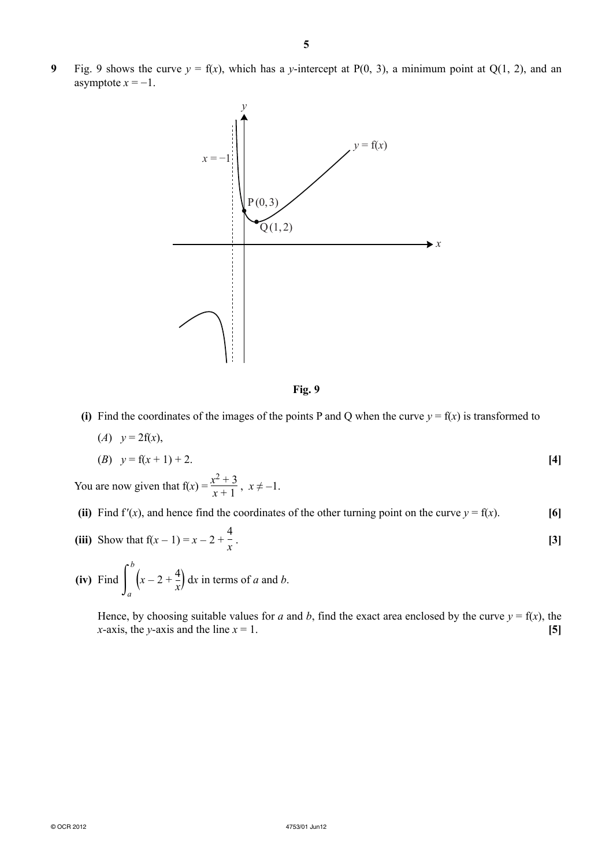**9 Fig.** 9 shows the curve  $y = f(x)$ , which has a *y*-intercept at P(0, 3), a minimum point at Q(1, 2), and an asymptote  $x = -1$ .



**Fig. 9**

- **(i)** Find the coordinates of the images of the points P and Q when the curve  $y = f(x)$  is transformed to
	- (*A*)  $y = 2f(x)$ ,

$$
(B) \quad y = f(x+1) + 2. \tag{4}
$$

You are now given that  $f(x) = \frac{x^2 + 3}{x + 1}$ ,  $x \neq -1$ .

- **(ii)** Find f'(*x*), and hence find the coordinates of the other turning point on the curve  $y = f(x)$ . [6]
- **(iii)** Show that  $f(x 1) = x 2 +$ 4 *x* . **[3]**
- $(iv)$  Find  $\int_{a}$ *b a*  $\left(x - 2 + \frac{4}{x}\right)$  dx in terms of *a* and *b*.

Hence, by choosing suitable values for *a* and *b*, find the exact area enclosed by the curve  $y = f(x)$ , the *x*-axis, the *y*-axis and the line  $x = 1$ . [5]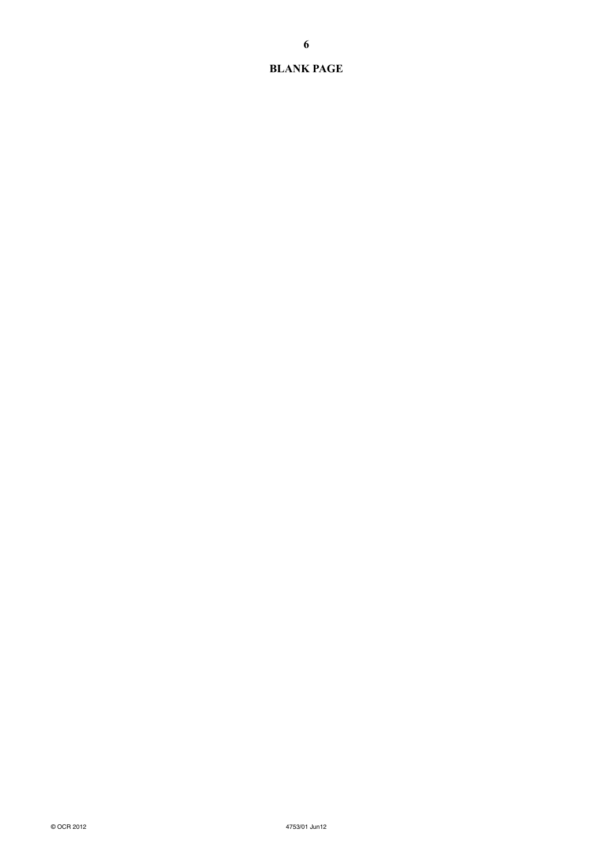#### **BLANK PAGE**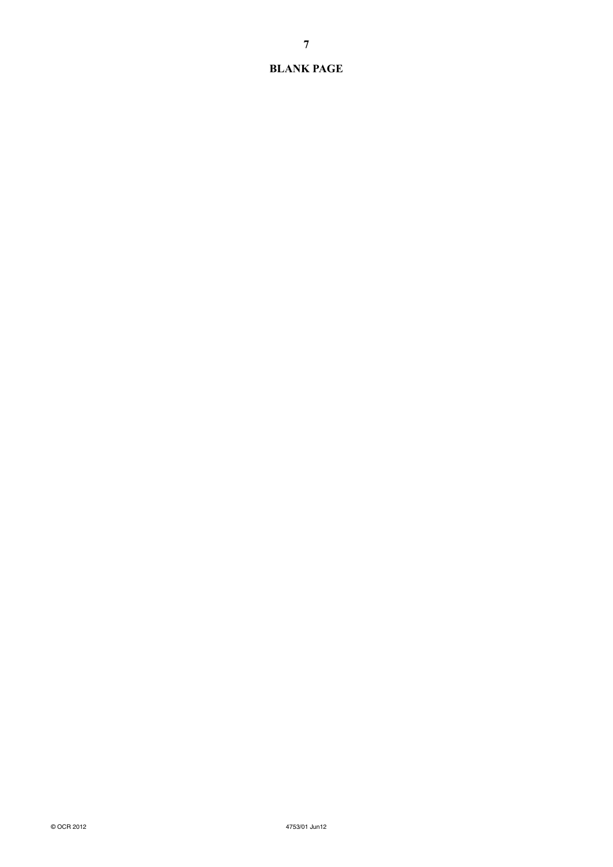#### **BLANK PAGE**